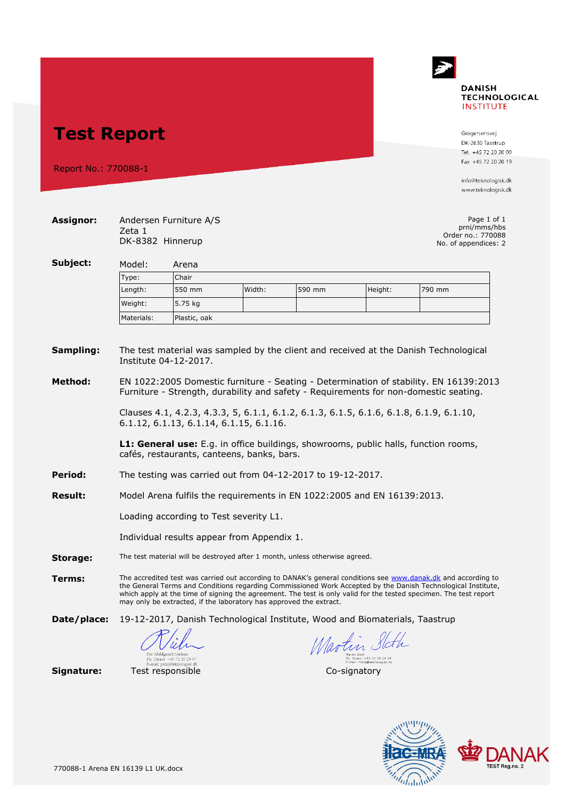## **DANISH TECHNOLOGICAL INSTITUTE**

**Test Report**

Report No.: 770088-1

Gregersensvej DK-2630 Taastrup Tel. +45 72 20 20 00 Fax +45 72 20 20 19

info@teknologisk.dk www.teknologisk.dk

| <b>Assignor:</b>     | Page 1 of 1<br>Andersen Furniture A/S<br>prni/mms/hbs<br>Zeta 1<br>Order no.: 770088<br>DK-8382 Hinnerup<br>No. of appendices: 2                                                                                                                                                                                                                                                                                         |                                                                                      |        |              |                                                         |        |  |  |
|----------------------|--------------------------------------------------------------------------------------------------------------------------------------------------------------------------------------------------------------------------------------------------------------------------------------------------------------------------------------------------------------------------------------------------------------------------|--------------------------------------------------------------------------------------|--------|--------------|---------------------------------------------------------|--------|--|--|
| Subject:             | Model:<br>Arena                                                                                                                                                                                                                                                                                                                                                                                                          |                                                                                      |        |              |                                                         |        |  |  |
|                      | Type:                                                                                                                                                                                                                                                                                                                                                                                                                    | Chair                                                                                |        |              |                                                         |        |  |  |
|                      | Length:                                                                                                                                                                                                                                                                                                                                                                                                                  | 550 mm                                                                               | Width: | 590 mm       | Height:                                                 | 790 mm |  |  |
|                      | Weight:                                                                                                                                                                                                                                                                                                                                                                                                                  | 5.75 kg                                                                              |        |              |                                                         |        |  |  |
|                      | Materials:                                                                                                                                                                                                                                                                                                                                                                                                               | Plastic, oak                                                                         |        |              |                                                         |        |  |  |
| Sampling:<br>Method: | The test material was sampled by the client and received at the Danish Technological<br>Institute 04-12-2017.<br>EN 1022:2005 Domestic furniture - Seating - Determination of stability. EN 16139:2013                                                                                                                                                                                                                   |                                                                                      |        |              |                                                         |        |  |  |
|                      | Furniture - Strength, durability and safety - Requirements for non-domestic seating.<br>Clauses 4.1, 4.2.3, 4.3.3, 5, 6.1.1, 6.1.2, 6.1.3, 6.1.5, 6.1.6, 6.1.8, 6.1.9, 6.1.10,<br>6.1.12, 6.1.13, 6.1.14, 6.1.15, 6.1.16.<br><b>L1: General use:</b> E.g. in office buildings, showrooms, public halls, function rooms,<br>cafés, restaurants, canteens, banks, bars.                                                    |                                                                                      |        |              |                                                         |        |  |  |
|                      |                                                                                                                                                                                                                                                                                                                                                                                                                          |                                                                                      |        |              |                                                         |        |  |  |
| <b>Period:</b>       | The testing was carried out from 04-12-2017 to 19-12-2017.                                                                                                                                                                                                                                                                                                                                                               |                                                                                      |        |              |                                                         |        |  |  |
| <b>Result:</b>       | Model Arena fulfils the requirements in EN 1022:2005 and EN 16139:2013.                                                                                                                                                                                                                                                                                                                                                  |                                                                                      |        |              |                                                         |        |  |  |
|                      | Loading according to Test severity L1.<br>Individual results appear from Appendix 1.                                                                                                                                                                                                                                                                                                                                     |                                                                                      |        |              |                                                         |        |  |  |
|                      |                                                                                                                                                                                                                                                                                                                                                                                                                          |                                                                                      |        |              |                                                         |        |  |  |
| Storage:             | The test material will be destroyed after 1 month, unless otherwise agreed.                                                                                                                                                                                                                                                                                                                                              |                                                                                      |        |              |                                                         |        |  |  |
| Terms:               | The accredited test was carried out according to DANAK's general conditions see www.danak.dk and according to<br>the General Terms and Conditions regarding Commissioned Work Accepted by the Danish Technological Institute,<br>which apply at the time of signing the agreement. The test is only valid for the tested specimen. The test report<br>may only be extracted, if the laboratory has approved the extract. |                                                                                      |        |              |                                                         |        |  |  |
| Date/place:          | 19-12-2017, Danish Technological Institute, Wood and Biomaterials, Taastrup                                                                                                                                                                                                                                                                                                                                              |                                                                                      |        |              |                                                         |        |  |  |
|                      |                                                                                                                                                                                                                                                                                                                                                                                                                          | Per Abildgaard Nielsen<br>Ph. Direct: +45 72 20 23 07<br>E-mail: prni@teknologisk.dk |        | Martin State | . Direct: +45 72 20 24 34<br>E-mail: mms@teknologisk.dk |        |  |  |
| Signature:           |                                                                                                                                                                                                                                                                                                                                                                                                                          | Test responsible                                                                     |        | Co-signatory |                                                         |        |  |  |



AK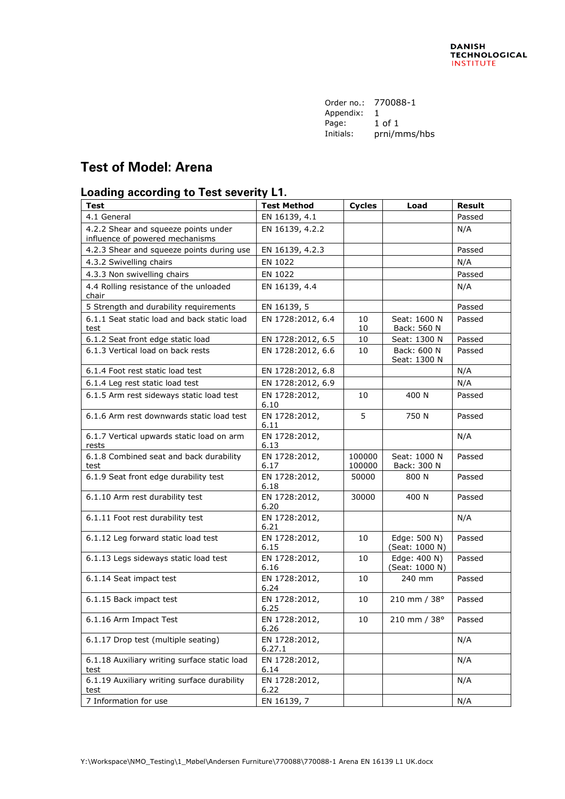| Order no.: | 770088-1     |
|------------|--------------|
| Appendix:  |              |
| Page:      | 1 of 1       |
| Initials:  | prni/mms/hbs |
|            |              |

## **Test of Model: Arena**

## **Loading according to Test severity L1.**

| <b>Test</b>                                                             | <b>Test Method</b>      | <b>Cycles</b>    | Load                           | <b>Result</b> |
|-------------------------------------------------------------------------|-------------------------|------------------|--------------------------------|---------------|
| 4.1 General                                                             | EN 16139, 4.1           |                  |                                | Passed        |
| 4.2.2 Shear and squeeze points under<br>influence of powered mechanisms | EN 16139, 4.2.2         |                  |                                | N/A           |
| 4.2.3 Shear and squeeze points during use                               | EN 16139, 4.2.3         |                  |                                | Passed        |
| 4.3.2 Swivelling chairs                                                 | EN 1022                 |                  |                                | N/A           |
| 4.3.3 Non swivelling chairs                                             | EN 1022                 |                  |                                | Passed        |
| 4.4 Rolling resistance of the unloaded<br>chair                         | EN 16139, 4.4           |                  |                                | N/A           |
| 5 Strength and durability requirements                                  | EN 16139, 5             |                  |                                | Passed        |
| 6.1.1 Seat static load and back static load<br>test                     | EN 1728:2012, 6.4       | 10<br>10         | Seat: 1600 N<br>Back: 560 N    | Passed        |
| 6.1.2 Seat front edge static load                                       | EN 1728:2012, 6.5       | 10               | Seat: 1300 N                   | Passed        |
| 6.1.3 Vertical load on back rests                                       | EN 1728:2012, 6.6       | 10               | Back: 600 N<br>Seat: 1300 N    | Passed        |
| 6.1.4 Foot rest static load test                                        | EN 1728:2012, 6.8       |                  |                                | N/A           |
| 6.1.4 Leg rest static load test                                         | EN 1728:2012, 6.9       |                  |                                | N/A           |
| 6.1.5 Arm rest sideways static load test                                | EN 1728:2012,<br>6.10   | 10               | 400 N                          | Passed        |
| 6.1.6 Arm rest downwards static load test                               | EN 1728:2012,<br>6.11   | 5                | 750 N                          | Passed        |
| 6.1.7 Vertical upwards static load on arm<br>rests                      | EN 1728:2012,<br>6.13   |                  |                                | N/A           |
| 6.1.8 Combined seat and back durability<br>test                         | EN 1728:2012,<br>6.17   | 100000<br>100000 | Seat: 1000 N<br>Back: 300 N    | Passed        |
| 6.1.9 Seat front edge durability test                                   | EN 1728:2012,<br>6.18   | 50000            | 800 N                          | Passed        |
| 6.1.10 Arm rest durability test                                         | EN 1728:2012,<br>6.20   | 30000            | 400 N                          | Passed        |
| 6.1.11 Foot rest durability test                                        | EN 1728:2012,<br>6.21   |                  |                                | N/A           |
| 6.1.12 Leg forward static load test                                     | EN 1728:2012,<br>6.15   | 10               | Edge: 500 N)<br>(Seat: 1000 N) | Passed        |
| 6.1.13 Legs sideways static load test                                   | EN 1728:2012,<br>6.16   | 10               | Edge: 400 N)<br>(Seat: 1000 N) | Passed        |
| 6.1.14 Seat impact test                                                 | EN 1728:2012,<br>6.24   | 10               | 240 mm                         | Passed        |
| 6.1.15 Back impact test                                                 | EN 1728:2012,<br>6.25   | 10               | 210 mm / 38°                   | Passed        |
| 6.1.16 Arm Impact Test                                                  | EN 1728:2012,<br>6.26   | 10               | 210 mm / 38°                   | Passed        |
| 6.1.17 Drop test (multiple seating)                                     | EN 1728:2012,<br>6.27.1 |                  |                                | N/A           |
| 6.1.18 Auxiliary writing surface static load<br>test                    | EN 1728:2012,<br>6.14   |                  |                                | N/A           |
| 6.1.19 Auxiliary writing surface durability<br>test                     | EN 1728:2012,<br>6.22   |                  |                                | N/A           |
| 7 Information for use                                                   | EN 16139, 7             |                  |                                | N/A           |